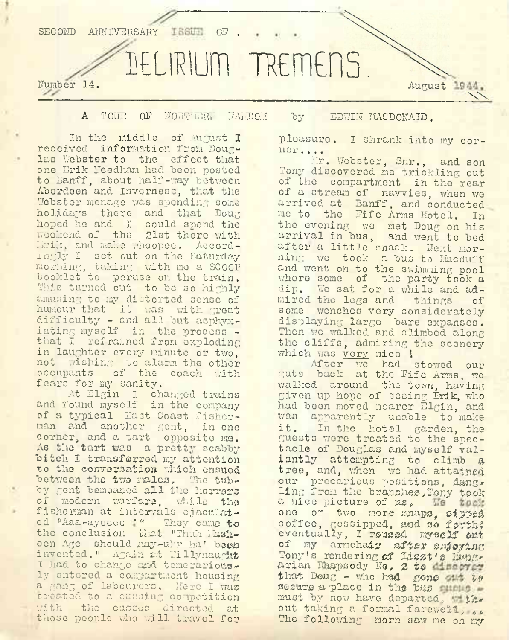

## A TOUR OP NORTHERN FANDOH by EDWIN IIACDONAID .

In the middle of August I received information from Douglas Webster to the effect that one Erik Needham had been posted to Banff, about half-way between Aberdeen and Inverness, that the Webster menage was spending some holidays there and that Doug hoped he and <sup>I</sup> could spend the weekend of the 21st there with Erik, and make whoopee. Accordingly I set out on the Saturday morning, taking with mo a SCOOP booklet to peruse on the train. Whis turned out to be so highly amusing to my distorted sense of humour that it was with great difficulty - and all but asphyxiating myself in the process that I refrained from exploding in laughter every minute or two, not wishing to alarm the other occupants of the coach with fears for my sanity.

At Elgin I changed trains and found myself in the company of a typical East Coast fisherman and another gent, in one corner, and a tart opposite ma. As the tart was a pretty scabby bitch I transferred my attention to the conversation which ensued between the two males, The tubby gent bemoaned all the horrors of modern warfare, while the fisherman at intervals ejaculated "Aaa-ayeeee ' " They came to the conclusion that "Thuh Maileon Ago should nay-uhr ha' been inv onted. " Again at Tillynaught <sup>I</sup> had to change and temerariously entered a compartment housing a gang of labourers. Here <sup>I</sup> was created to a cuesing competition with the cusses directed at those people who will travel for

pleasure. <sup>I</sup> shrank into my corner ....

Mr. Webster, Snr., and son Tony discovered me trickling out of the compartment in the rear of a stream of navvies, when we arrived at Banff, and conducted me to the Fife Arms Hotel. In the evening we met Doug on his arrival in bus, and went to bed after a little snack. Next morning we took a bus to Hacduff and went on to the swimming pool where some of the party took a dip. We sat for a while and admired the legs and things of some wenches very considerately displaying large bare expanses. Then we walked and climbed along the cliffs, admiring the scenery which was very nice !

After we had stowed our guts back at the Fife Arms, wo walked around the town, having given up hope of seeing Erik, who had been moved nearer Elgin, and apparently unable to make it. In the hotel garden, the guests were treated to the spectacle of Douglas and myself valiantly attempting to climb a tree, and, when we had attained our precarious positions, dangling from the branches, Tony took a nice picture of us. We took one or two more snaps, sipped coffee, gossipped, and so forth; eventually, I roused myself ont of my armchair after enjoying Tony's rendering of Liszt's Hungarian Rhapsody No. 2 to incore: that  $\text{Dou}_G$  - who had gone out to secure a place in the bus quete must by now have departed. the out taking a formal farewell, .. The following morn saw me on my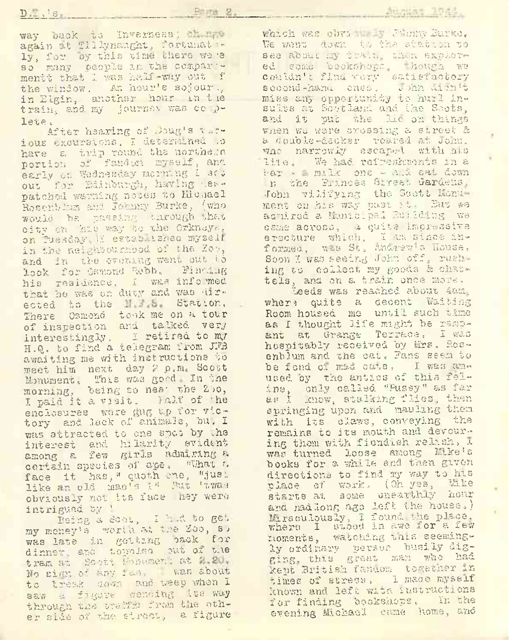$D \longrightarrow S$ 

which was obv: I:. Jimmy Burke, Ve went down, to the station to see about my train. thin explored some beekshops. hough we couldn'<sup>o</sup> find very satisfactory second-hanu cnes, John dichit miss any opportunity to hurl insults o.t Scot land and iho Soots , and it put the lie on things when we were crossing a street & a double-decker roared at John. wno narrowly escaped with his lite. We had refreshmonts in a bar ' = m.lk one - a.i sat down n the Prances Street Gardens, John vilifying the Soctt Monumerty on his way past it. But we aamired a Municipal Eutiding we came across, a quite impressive erecture which, I am since informed. w s St, anagew a House, Soon I was seeing John off, rush- ing to collect my goods & chattels, and on a. train once more,

Leeds was reached about 4am. whera quite a decent Waiting Room housed me until such tine as I thought life might be rsmpant at Grange Terrace. I was hospitably received by Mrs. Rosenblum and the cat. Fans seem to be fond on mad cuts, I was amused by the antics of this feline, only called "Pussy'! as far us <sup>I</sup> know, stalking flies, then, springing upon and mauling them with its claws, conveying the remains to its mouth and devouring them with fiendish relash, I was turned loose among Mike's books for a while and then given directions to find my way to his place ef work., (Oh yes, Hike starts at some unearthly hour ana had long ago left the houses) Miraculously, I found the place. where I stood in awe for a few moments, vatching whis seemingly ordinary person busily digging., this great ma?i who had kept British fanuom together in times of stress, I made myself known and left with instructions for finding bookshops. In the evening Michael came home, and

way back to Inverness; there again at T11lynaught, fortunat + ly, for oy this time there we \*e so many people in the compar mentt that I was half-way out f the window. An hour's sojour. in Elgin, another hour in t ie train., and. my journey was co plete <.

After hearing of .Doug's vacious excursions, I determined .o have a trip round the northern portion of fanden myself, and early on Wednesday morning I set out for Edinburgh, having es .pat ched warning nooes to Hichael Rosenbium and Johnny Burke, (who would he. passing izirough that city oh his way to the. Orkneyr,. on Tuesday II estab Lanco myself. in the neighdournood of the Zo?, and in the evening went out i. look for Osmond Robb. Finang his residence, I was info 'med that he was on duty and was 'inr\* ected to the ME a Station. There Osmond took me on a tour of inspection and talked very interestingly« I retired, to my H.Q. to find a telegram from JFB awaiting me with instructions to meet him next day 2 p.m. Scott Monument, This was good In tne morning, being so neat the Zoo, <sup>I</sup> paid it a visit. half of 'he enclosures wore gug up for victory and lack of animals, bu, I was attracted to one spec by the interest and hilarity evident among a few girus ndmi-vlng a certain species of ape. What a face it has, " quoth one, "just like an old man's 14 Rut thwas obviously not Its face hey were intrigued by \

Being a Scot, I h.d to get my money's worid at the Zoo, s, was late in getting oaok for dinner, and t.oppled out of the tram at Scott Honumen: at 2.21, No sign of any fan. was about to break down and weep when I saw & figure wending ite way through the traffs from the other side of the street, a figure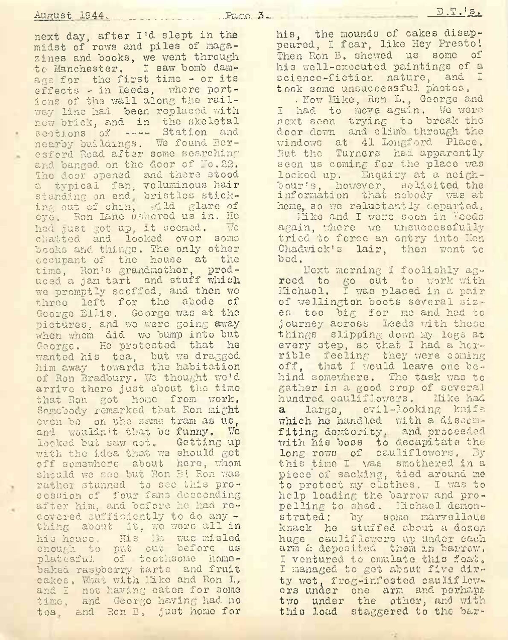next day, after I'<sup>d</sup> slept in the midst of rows and piles of magazines and books, we went through •to Manchester. I saw bomb damage for the first time - or its effects - in Leeds, where portions of the wall along the railway line had been replaced with new brick, and in the skeletal sections of ---- Station and nearby buildings. We found Beresford Road after some searching and banged on the door of Io.22. The door opened and there stood a typical fan, voluminous hair standing on end. bristles sticking out of chin, wild glare of eye. Ron lane ushered us in. Ho had just got up, it seemed. We chatted and looked over some books and things. The only other occupant of the house at the time, Ron'<sup>s</sup> grandmother, produced a jam tart and stuff which we promptly scoffed, and then wo three left for the abode of George Ellis. George was at the pictures, and we were going away when whom did wo bump into but George. He protested that he wanted his tea, but we dragged him away towards the habitation of Ron Bradbury. We thought we'd arrive there just about the time that Ron got homo from work. Somebody remarked that Ron might oven bo on the same tram as us, and wouldn'<sup>t</sup> that be funny. We looked but saw not. Getting up with the idea that we should get off somewhere about here, whom should we see but Ron B! Ron was rather stunned to see this procession of four fans descending after him, and before he had recovered sufficiently to do any thing about it, we were all in his house, His Ha was misled enough to put out before us platesful of toothsome homobaked raspberry tarts and fruit cakes. What with like and Ron L, and I not having eaten for some time, and George having had no tea. and Ron B. just home for

. Now Like, Ron L., George and <sup>I</sup> had to move again. We wore next seen trying to break the door dorm and climb through the windows at 41 Longford Place. But the Turners had apparently seen us coming for the place was locked up. Enquiry at a neighbour's, however, solicited the information that nobody was at home, so we reluctantly departed.

Mike and I were soon in Leeds again, where we unsuccessfully tried to force an entry into Hon Chadwick's lair, then wont to bod.

IToxt morning <sup>I</sup> foolishly agreed to go out to work with Michael. I uas placed in a pair of Wellington boots several sizes too big for me and had to journey across Leeds with these things slipping down my legs at every step, so that I had a horrible feeling they were coming off, that I would leave one behind somewhere. The task was to gather in a good crop of several hundred cauliflowers. Mike had a large, evil-looking knife which he handled with a discomfiting dextority, and proceeded with his boss to decapitate the long rows of cauliflowers. By this time I was smothered in a piece' of sacking, tied around me to protect my clothes. I was to help loading the barrow and propelling to shed. Michael demonstrated: by some marvellous knack he stuffed about a dozen huge cauliflowers up under each arm & deposited them an barrow. I ventured to emulate this feat. <sup>I</sup> managed to get about five dirty wot, frog-infested cauliflowers under one arm and perhaps two under the other, and with this load staggered to the bar-